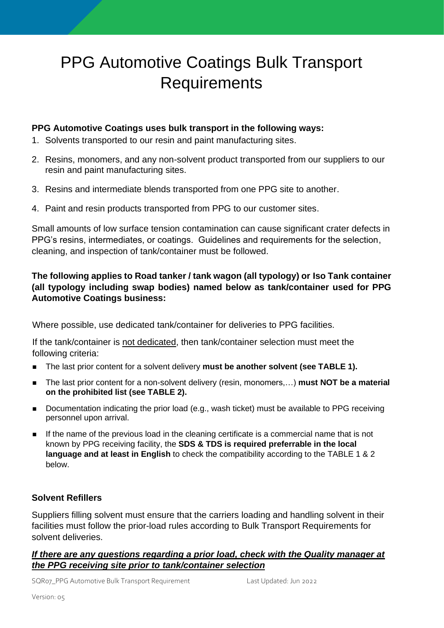# PPG Automotive Coatings Bulk Transport **Requirements**

# **PPG Automotive Coatings uses bulk transport in the following ways:**

- 1. Solvents transported to our resin and paint manufacturing sites.
- 2. Resins, monomers, and any non-solvent product transported from our suppliers to our resin and paint manufacturing sites.
- 3. Resins and intermediate blends transported from one PPG site to another.
- 4. Paint and resin products transported from PPG to our customer sites.

Small amounts of low surface tension contamination can cause significant crater defects in PPG's resins, intermediates, or coatings. Guidelines and requirements for the selection, cleaning, and inspection of tank/container must be followed.

# **The following applies to Road tanker / tank wagon (all typology) or Iso Tank container (all typology including swap bodies) named below as tank/container used for PPG Automotive Coatings business:**

Where possible, use dedicated tank/container for deliveries to PPG facilities.

If the tank/container is not dedicated, then tank/container selection must meet the following criteria:

- The last prior content for a solvent delivery **must be another solvent (see TABLE 1).**
- The last prior content for a non-solvent delivery (resin, monomers,...) **must NOT be a material on the prohibited list (see TABLE 2).**
- Documentation indicating the prior load (e.g., wash ticket) must be available to PPG receiving personnel upon arrival.
- If the name of the previous load in the cleaning certificate is a commercial name that is not known by PPG receiving facility, the **SDS & TDS is required preferrable in the local language and at least in English** to check the compatibility according to the TABLE 1 & 2 below.

# **Solvent Refillers**

Suppliers filling solvent must ensure that the carriers loading and handling solvent in their facilities must follow the prior-load rules according to Bulk Transport Requirements for solvent deliveries.

# *If there are any questions regarding a prior load, check with the Quality manager at the PPG receiving site prior to tank/container selection*

SQR07\_PPG Automotive Bulk Transport Requirement Last Updated: Jun 2022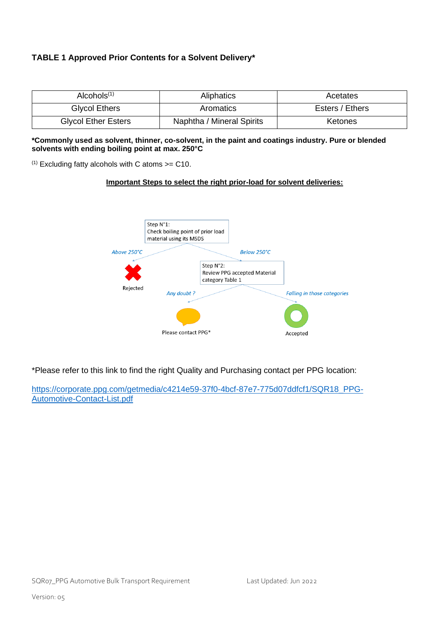## **TABLE 1 Approved Prior Contents for a Solvent Delivery\***

| Alcohols $(1)$             | <b>Aliphatics</b>         | Acetates        |
|----------------------------|---------------------------|-----------------|
| <b>Glycol Ethers</b>       | Aromatics                 | Esters / Ethers |
| <b>Glycol Ether Esters</b> | Naphtha / Mineral Spirits | <b>Ketones</b>  |

#### **\*Commonly used as solvent, thinner, co-solvent, in the paint and coatings industry. Pure or blended solvents with ending boiling point at max. 250°C**

 $(1)$  Excluding fatty alcohols with C atoms  $>=$  C10.

#### **Important Steps to select the right prior-load for solvent deliveries:**



\*Please refer to this link to find the right Quality and Purchasing contact per PPG location:

[https://corporate.ppg.com/getmedia/c4214e59-37f0-4bcf-87e7-775d07ddfcf1/SQR18\\_PPG-](https://corporate.ppg.com/getmedia/c4214e59-37f0-4bcf-87e7-775d07ddfcf1/SQR18_PPG-Automotive-Contact-List.pdf)[Automotive-Contact-List.pdf](https://corporate.ppg.com/getmedia/c4214e59-37f0-4bcf-87e7-775d07ddfcf1/SQR18_PPG-Automotive-Contact-List.pdf)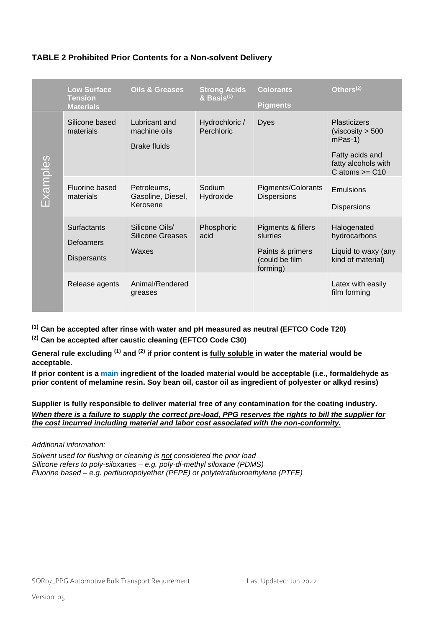|                                                                                                                                                                                                                                                                                                                                                                                                                                                                                                                                              | <b>Low Surface</b><br><b>Tension</b><br><b>Materials</b> | <b>Oils &amp; Greases</b>                            | <b>Strong Acids</b><br>$\&$ Basis <sup>(1)</sup> | <b>Colorants</b><br><b>Pigments</b>                                  | Others <sup>(2)</sup>                                                                                                    |  |
|----------------------------------------------------------------------------------------------------------------------------------------------------------------------------------------------------------------------------------------------------------------------------------------------------------------------------------------------------------------------------------------------------------------------------------------------------------------------------------------------------------------------------------------------|----------------------------------------------------------|------------------------------------------------------|--------------------------------------------------|----------------------------------------------------------------------|--------------------------------------------------------------------------------------------------------------------------|--|
| Examples                                                                                                                                                                                                                                                                                                                                                                                                                                                                                                                                     | Silicone based<br>materials                              | Lubricant and<br>machine oils<br><b>Brake fluids</b> | Hydrochloric /<br>Perchloric                     | <b>Dyes</b>                                                          | <b>Plasticizers</b><br>(viscosity $> 500$<br>$mPas-1)$<br>Fatty acids and<br>fatty alcohols with<br>$C$ atoms $>=$ $C10$ |  |
|                                                                                                                                                                                                                                                                                                                                                                                                                                                                                                                                              | Fluorine based<br>materials                              | Petroleums,<br>Gasoline, Diesel,<br>Kerosene         | Sodium<br>Hydroxide                              | <b>Pigments/Colorants</b><br><b>Dispersions</b>                      | Emulsions<br><b>Dispersions</b>                                                                                          |  |
|                                                                                                                                                                                                                                                                                                                                                                                                                                                                                                                                              | Surfactants<br><b>Defoamers</b><br>Dispersants           | Silicone Oils/<br><b>Silicone Greases</b><br>Waxes   | Phosphoric<br>acid                               | Pigments & fillers<br>slurries<br>Paints & primers<br>(could be film | Halogenated<br>hydrocarbons<br>Liquid to waxy (any<br>kind of material)                                                  |  |
|                                                                                                                                                                                                                                                                                                                                                                                                                                                                                                                                              | Release agents                                           | Animal/Rendered<br>greases                           |                                                  | forming)                                                             | Latex with easily<br>film forming                                                                                        |  |
| $^{(1)}$ Can be accepted after rinse with water and pH measured as neutral (EFTCO Code T20)<br><sup>(2)</sup> Can be accepted after caustic cleaning (EFTCO Code C30)<br>General rule excluding <sup>(1)</sup> and <sup>(2)</sup> if prior content is <i>fully soluble</i> in water the material would be<br>acceptable.<br>If prior content is a main ingredient of the loaded material would be acceptable (i.e., formaldehyde as<br>prior content of melamine resin. Soy bean oil, castor oil as ingredient of polyester or alkyd resins) |                                                          |                                                      |                                                  |                                                                      |                                                                                                                          |  |
| Supplier is fully responsible to deliver material free of any contamination for the coating industry.<br>When there is a failure to supply the correct pre-load, PPG reserves the rights to bill the supplier for<br>the cost incurred including material and labor cost associated with the non-conformity.                                                                                                                                                                                                                                 |                                                          |                                                      |                                                  |                                                                      |                                                                                                                          |  |
| Additional information:<br>Solvent used for flushing or cleaning is not considered the prior load<br>Silicone refers to poly-siloxanes - e.g. poly-di-methyl siloxane (PDMS)<br>Fluorine based – e.g. perfluoropolyether (PFPE) or polytetrafluoroethylene (PTFE)                                                                                                                                                                                                                                                                            |                                                          |                                                      |                                                  |                                                                      |                                                                                                                          |  |

### **TABLE 2 Prohibited Prior Contents for a Non-solvent Delivery**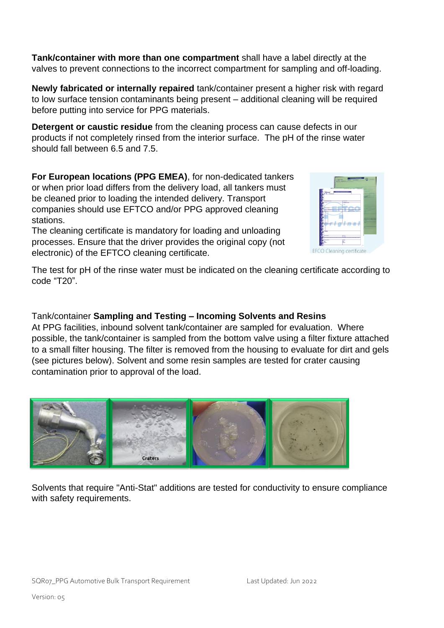**Tank/container with more than one compartment** shall have a label directly at the valves to prevent connections to the incorrect compartment for sampling and off-loading.

**Newly fabricated or internally repaired** tank/container present a higher risk with regard to low surface tension contaminants being present – additional cleaning will be required before putting into service for PPG materials.

**Detergent or caustic residue** from the cleaning process can cause defects in our products if not completely rinsed from the interior surface. The pH of the rinse water should fall between 6.5 and 7.5.

**For European locations (PPG EMEA)**, for non-dedicated tankers or when prior load differs from the delivery load, all tankers must be cleaned prior to loading the intended delivery. Transport companies should use EFTCO and/or PPG approved cleaning stations.

The cleaning certificate is mandatory for loading and unloading processes. Ensure that the driver provides the original copy (not electronic) of the EFTCO cleaning certificate.

Craters

The test for pH of the rinse water must be indicated on the cleaning certificate according to code "T20".

# Tank/container **Sampling and Testing – Incoming Solvents and Resins**

At PPG facilities, inbound solvent tank/container are sampled for evaluation. Where possible, the tank/container is sampled from the bottom valve using a filter fixture attached to a small filter housing. The filter is removed from the housing to evaluate for dirt and gels (see pictures below). Solvent and some resin samples are tested for crater causing contamination prior to approval of the load.

Solvents that require "Anti-Stat" additions are tested for conductivity to ensure compliance with safety requirements.